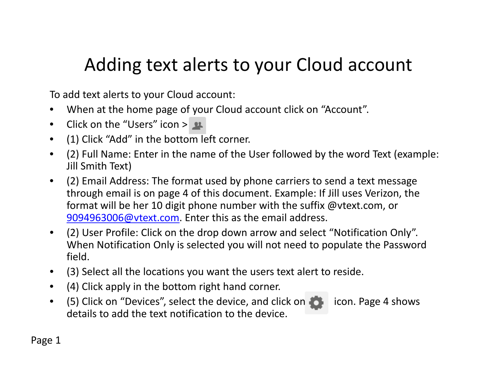## Adding text alerts to your Cloud account

To add text alerts to your Cloud account:

- $\bullet$ When at the home page of your Cloud account click on "Account".
- $\bullet$ Click on the "Users" icon <sup>&</sup>gt;
- $\bullet$ (1) Click "Add" in the bottom left corner.
- $\bullet$  (2) Full Name: Enter in the name of the User followed by the word Text (example: Jill Smith Text)
- $\bullet$  (2) Email Address: The format used by phone carriers to send <sup>a</sup> text message through email is on page 4 of this document. Example: If Jill uses Verizon, the format will be her 10 digit phone number with the suffix @vtext.com, or 9094963006@vtext.com. Enter this as the email address.
- (2) User Profile: Click on the drop down arrow and select "Notification Only". When Notification Only is selected you will not need to populate the Password field.
- (3) Select all the locations you want the users text alert to reside.
- (4) Click apply in the bottom right hand corner.
- $\bullet$ (5) Click on "Devices", select the device, and click on **icon.** Page 4 shows details to add the text notification to the device.

Page 1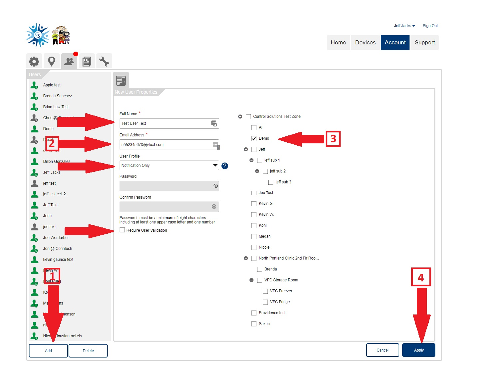

團  $\bigcirc$  $\frac{1}{2}$ Apple test Brenda Sanchez  $\frac{1}{2}$ **Brian Law Test**  $\frac{1}{3}$ Full Name\* Control Solutions Test Zone  $\frac{1}{2}$ Chris @ ۳, **Test User Text**  $\Box$  Al Demo Email Address<sup>\*</sup>  $\mathbf{3}$  $\sqrt{\phantom{a}}$  Demo 巧 dig  $\begin{array}{c} \begin{array}{c} \begin{array}{c} \end{array} \\ \begin{array}{c} \end{array} \end{array} \end{array}$ 5552345678@vtext.com  $\bullet$  $\bullet$   $\Box$  Jeff **User Profile**  $\bullet$   $\Box$  jeff sub 1 **Dillon Gonzales**  $\overline{\phantom{a}}$ Notification Only  $\bigcirc$   $\Box$  jeff sub 2 Jeff Jacks dis) Password  $\Box$  jeff sub 3  $\bullet$ jeff test  $\circledast$ Joe Test jeff test cell 2 Confirm Password  $\Box$  Kevin G. Jeff Text  $\circledast$ Kevin W. Jenn Passwords must be a minimum of eight characters<br>including at least one upper case letter and one number  $\Box$  Kohl joe text Require User Validation Megan Joe Werderber 43  $\Box$  Nicole Jon @ Corintech 49 North Portland Clinic 2nd Flr Roo... kevin gaunce text  $\Box$  Brenda O VFC Storage Room VFC Freezer К  $\Box$  VFC Fridge Ma Providence test nonson  $\Box$  Saxon  $\mathsf{r}$ Houstonrockets Nico  $\frac{1}{2}$ Cancel Apply Add Delete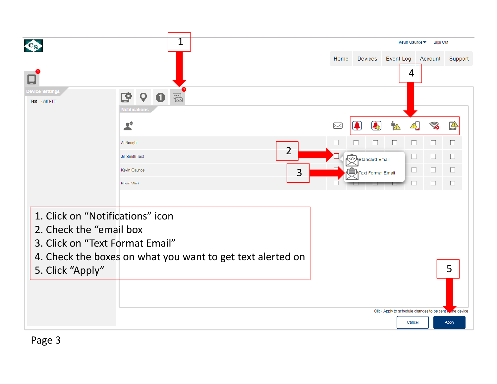| CS                                                                                                                                                            | 1 |                | Kevin Gaunce ▼<br>Sign Out |                    |                                                        |        |                                        |              |
|---------------------------------------------------------------------------------------------------------------------------------------------------------------|---|----------------|----------------------------|--------------------|--------------------------------------------------------|--------|----------------------------------------|--------------|
|                                                                                                                                                               |   |                | Home                       | <b>Devices</b>     | Event Log                                              | 4      | Account                                | Support      |
| <b>Setting</b><br>쟠.<br>$\mathbf Q$<br>$\blacksquare$<br>Test (WiFi-TP)<br><b>Notifications</b>                                                               | 嗯 |                |                            |                    |                                                        |        |                                        |              |
| Ľ                                                                                                                                                             |   |                | ⋈                          | $\mathcal{L}_0$    | $\frac{1}{10}$                                         |        | うす                                     | 母            |
| Al Naught                                                                                                                                                     |   |                |                            | $\Box$<br>ш        | $\Box$                                                 | $\Box$ | $\Box$                                 | □            |
| Jill Smith Text                                                                                                                                               |   | $\overline{2}$ |                            | Standard Email     |                                                        | $\Box$ | $\Box$                                 | ш            |
| Kevin Gaunce                                                                                                                                                  |   | 3              |                            | hText Format Email |                                                        | $\Box$ | $\begin{array}{c} \square \end{array}$ | ш            |
| <b>Kevin Wick</b>                                                                                                                                             |   |                |                            |                    |                                                        | $\Box$ | $\Box$                                 | $\Box$       |
|                                                                                                                                                               |   |                |                            |                    |                                                        |        |                                        |              |
| 1. Click on "Notifications" icon<br>2. Check the "email box"<br>3. Click on "Text Format Email"<br>4. Check the boxes on what you want to get text alerted on |   |                |                            |                    |                                                        |        |                                        |              |
| 5. Click "Apply"                                                                                                                                              |   |                |                            |                    |                                                        |        |                                        | 5            |
|                                                                                                                                                               |   |                |                            |                    | Click Apply to schedule changes to be sent wine device |        |                                        |              |
|                                                                                                                                                               |   |                |                            |                    |                                                        | Cancel |                                        | <b>Apply</b> |

Page 3